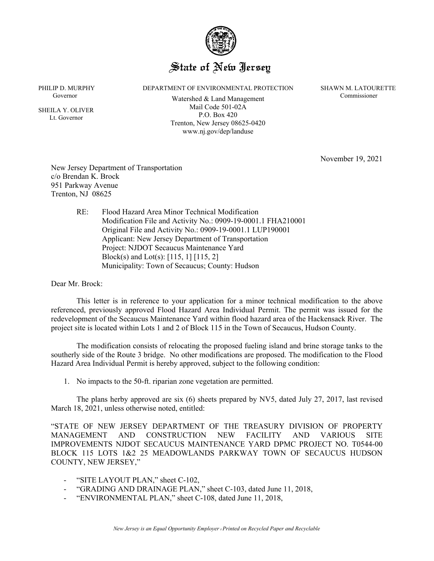

## State of New Jersey

PHILIP D. MURPHY DEPARTMENT OF ENVIRONMENTAL PROTECTION SHAWN M. LATOURETTE

 SHEILA Y. OLIVER Lt. Governor

Governor Commissioner Commissioner<br>
Commissioner Trenton, New Jersey 08625-0420 Mail Code 501-02A P.O. Box 420 www.nj.gov/dep/landuse

November 19, 2021

New Jersey Department of Transportation c/o Brendan K. Brock 951 Parkway Avenue Trenton, NJ 08625

> RE: Flood Hazard Area Minor Technical Modification Modification File and Activity No.: 0909-19-0001.1 FHA210001 Original File and Activity No.: 0909-19-0001.1 LUP190001 Applicant: New Jersey Department of Transportation Project: NJDOT Secaucus Maintenance Yard Block(s) and Lot(s): [115, 1] [115, 2] Municipality: Town of Secaucus; County: Hudson

Dear Mr. Brock:

This letter is in reference to your application for a minor technical modification to the above referenced, previously approved Flood Hazard Area Individual Permit. The permit was issued for the redevelopment of the Secaucus Maintenance Yard within flood hazard area of the Hackensack River. The project site is located within Lots 1 and 2 of Block 115 in the Town of Secaucus, Hudson County.

The modification consists of relocating the proposed fueling island and brine storage tanks to the southerly side of the Route 3 bridge. No other modifications are proposed. The modification to the Flood Hazard Area Individual Permit is hereby approved, subject to the following condition:

1. No impacts to the 50-ft. riparian zone vegetation are permitted.

The plans herby approved are six (6) sheets prepared by NV5, dated July 27, 2017, last revised March 18, 2021, unless otherwise noted, entitled:

"STATE OF NEW JERSEY DEPARTMENT OF THE TREASURY DIVISION OF PROPERTY MANAGEMENT AND CONSTRUCTION NEW FACILITY AND VARIOUS SITE IMPROVEMENTS NJDOT SECAUCUS MAINTENANCE YARD DPMC PROJECT NO. T0544-00 BLOCK 115 LOTS 1&2 25 MEADOWLANDS PARKWAY TOWN OF SECAUCUS HUDSON COUNTY, NEW JERSEY,"

- "SITE LAYOUT PLAN," sheet C-102,
- "GRADING AND DRAINAGE PLAN," sheet C-103, dated June 11, 2018,
- "ENVIRONMENTAL PLAN," sheet C-108, dated June 11, 2018,